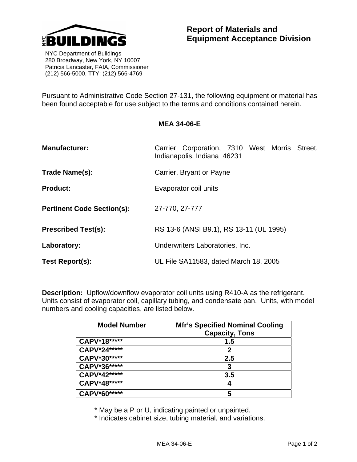

 NYC Department of Buildings 280 Broadway, New York, NY 10007 Patricia Lancaster, FAIA, Commissioner (212) 566-5000, TTY: (212) 566-4769

Pursuant to Administrative Code Section 27-131, the following equipment or material has been found acceptable for use subject to the terms and conditions contained herein.

## **MEA 34-06-E**

| <b>Manufacturer:</b>              | Carrier Corporation, 7310 West Morris Street,<br>Indianapolis, Indiana 46231 |
|-----------------------------------|------------------------------------------------------------------------------|
| Trade Name(s):                    | Carrier, Bryant or Payne                                                     |
| <b>Product:</b>                   | Evaporator coil units                                                        |
| <b>Pertinent Code Section(s):</b> | 27-770, 27-777                                                               |
| <b>Prescribed Test(s):</b>        | RS 13-6 (ANSI B9.1), RS 13-11 (UL 1995)                                      |
| Laboratory:                       | Underwriters Laboratories, Inc.                                              |
| Test Report(s):                   | UL File SA11583, dated March 18, 2005                                        |

**Description:** Upflow/downflow evaporator coil units using R410-A as the refrigerant. Units consist of evaporator coil, capillary tubing, and condensate pan. Units, with model numbers and cooling capacities, are listed below.

| <b>Model Number</b> | <b>Mfr's Specified Nominal Cooling</b><br><b>Capacity, Tons</b> |
|---------------------|-----------------------------------------------------------------|
| CAPV*18*****        | 1.5                                                             |
| CAPV*24*****        |                                                                 |
| CAPV*30*****        | 2.5                                                             |
| CAPV*36*****        | 3                                                               |
| CAPV*42*****        | 3.5                                                             |
| CAPV*48*****        |                                                                 |
| CAPV*60******       | 5                                                               |

\* May be a P or U, indicating painted or unpainted.

\* Indicates cabinet size, tubing material, and variations.